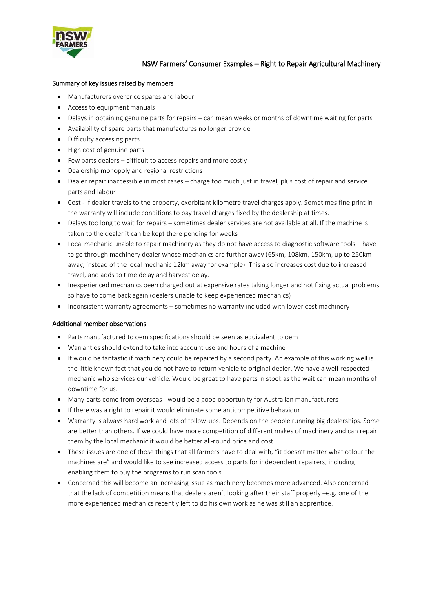

#### Summary of key issues raised by members

- Manufacturers overprice spares and labour
- Access to equipment manuals
- Delays in obtaining genuine parts for repairs can mean weeks or months of downtime waiting for parts
- Availability of spare parts that manufactures no longer provide
- Difficulty accessing parts
- High cost of genuine parts
- Few parts dealers difficult to access repairs and more costly
- Dealership monopoly and regional restrictions
- Dealer repair inaccessible in most cases charge too much just in travel, plus cost of repair and service parts and labour
- Cost if dealer travels to the property, exorbitant kilometre travel charges apply. Sometimes fine print in the warranty will include conditions to pay travel charges fixed by the dealership at times.
- Delays too long to wait for repairs sometimes dealer services are not available at all. If the machine is taken to the dealer it can be kept there pending for weeks
- Local mechanic unable to repair machinery as they do not have access to diagnostic software tools have to go through machinery dealer whose mechanics are further away (65km, 108km, 150km, up to 250km away, instead of the local mechanic 12km away for example). This also increases cost due to increased travel, and adds to time delay and harvest delay.
- Inexperienced mechanics been charged out at expensive rates taking longer and not fixing actual problems so have to come back again (dealers unable to keep experienced mechanics)
- Inconsistent warranty agreements sometimes no warranty included with lower cost machinery

# Additional member observations

- Parts manufactured to oem specifications should be seen as equivalent to oem
- Warranties should extend to take into account use and hours of a machine
- It would be fantastic if machinery could be repaired by a second party. An example of this working well is the little known fact that you do not have to return vehicle to original dealer. We have a well-respected mechanic who services our vehicle. Would be great to have parts in stock as the wait can mean months of downtime for us.
- Many parts come from overseas would be a good opportunity for Australian manufacturers
- **If there was a right to repair it would eliminate some anticompetitive behaviour**
- Warranty is always hard work and lots of follow-ups. Depends on the people running big dealerships. Some are better than others. If we could have more competition of different makes of machinery and can repair them by the local mechanic it would be better all-round price and cost.
- These issues are one of those things that all farmers have to deal with, "it doesn't matter what colour the machines are" and would like to see increased access to parts for independent repairers, including enabling them to buy the programs to run scan tools.
- Concerned this will become an increasing issue as machinery becomes more advanced. Also concerned that the lack of competition means that dealers aren't looking after their staff properly –e.g. one of the more experienced mechanics recently left to do his own work as he was still an apprentice.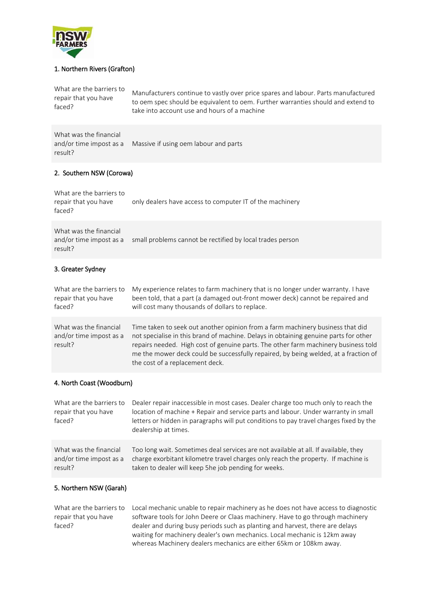

# 1. Northern Rivers (Grafton)

| What are the barriers to<br>repair that you have<br>faced?   | Manufacturers continue to vastly over price spares and labour. Parts manufactured<br>to oem spec should be equivalent to oem. Further warranties should and extend to<br>take into account use and hours of a machine                                                                                                                                                                                    |  |
|--------------------------------------------------------------|----------------------------------------------------------------------------------------------------------------------------------------------------------------------------------------------------------------------------------------------------------------------------------------------------------------------------------------------------------------------------------------------------------|--|
| What was the financial<br>and/or time impost as a<br>result? | Massive if using oem labour and parts                                                                                                                                                                                                                                                                                                                                                                    |  |
| 2. Southern NSW (Corowa)                                     |                                                                                                                                                                                                                                                                                                                                                                                                          |  |
| What are the barriers to<br>repair that you have<br>faced?   | only dealers have access to computer IT of the machinery                                                                                                                                                                                                                                                                                                                                                 |  |
| What was the financial<br>and/or time impost as a<br>result? | small problems cannot be rectified by local trades person                                                                                                                                                                                                                                                                                                                                                |  |
| 3. Greater Sydney                                            |                                                                                                                                                                                                                                                                                                                                                                                                          |  |
| What are the barriers to<br>repair that you have<br>faced?   | My experience relates to farm machinery that is no longer under warranty. I have<br>been told, that a part (a damaged out-front mower deck) cannot be repaired and<br>will cost many thousands of dollars to replace.                                                                                                                                                                                    |  |
| What was the financial<br>and/or time impost as a<br>result? | Time taken to seek out another opinion from a farm machinery business that did<br>not specialise in this brand of machine. Delays in obtaining genuine parts for other<br>repairs needed. High cost of genuine parts. The other farm machinery business told<br>me the mower deck could be successfully repaired, by being welded, at a fraction of<br>the cost of a replacement deck.                   |  |
| 4. North Coast (Woodburn)                                    |                                                                                                                                                                                                                                                                                                                                                                                                          |  |
| repair that you have<br>faced?                               | What are the barriers to Dealer repair inaccessible in most cases. Dealer charge too much only to reach the<br>location of machine + Repair and service parts and labour. Under warranty in small<br>letters or hidden in paragraphs will put conditions to pay travel charges fixed by the<br>dealership at times.                                                                                      |  |
| What was the financial<br>and/or time impost as a<br>result? | Too long wait. Sometimes deal services are not available at all. If available, they<br>charge exorbitant kilometre travel charges only reach the property. If machine is<br>taken to dealer will keep 5he job pending for weeks.                                                                                                                                                                         |  |
| 5. Northern NSW (Garah)                                      |                                                                                                                                                                                                                                                                                                                                                                                                          |  |
| What are the barriers to<br>repair that you have<br>faced?   | Local mechanic unable to repair machinery as he does not have access to diagnostic<br>software tools for John Deere or Claas machinery. Have to go through machinery<br>dealer and during busy periods such as planting and harvest, there are delays<br>waiting for machinery dealer's own mechanics. Local mechanic is 12km away<br>whereas Machinery dealers mechanics are either 65km or 108km away. |  |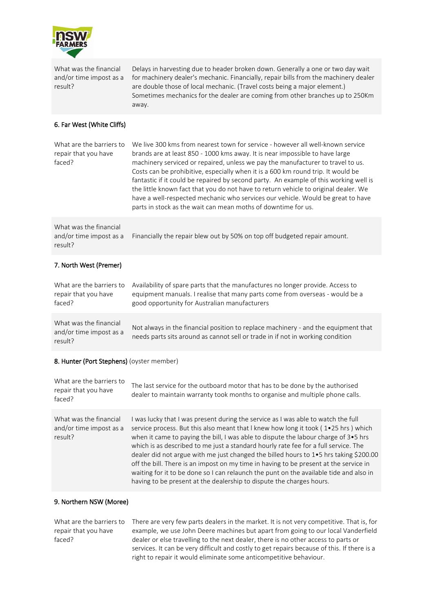

What was the financial and/or time impost as a result?

Delays in harvesting due to header broken down. Generally a one or two day wait for machinery dealer's mechanic. Financially, repair bills from the machinery dealer are double those of local mechanic. (Travel costs being a major element.) Sometimes mechanics for the dealer are coming from other branches up to 250Km away.

# 6. Far West (White Cliffs)

What are the barriers to repair that you have faced? We live 300 kms from nearest town for service - however all well-known service brands are at least 850 - 1000 kms away. It is near impossible to have large machinery serviced or repaired, unless we pay the manufacturer to travel to us. Costs can be prohibitive, especially when it is a 600 km round trip. It would be fantastic if it could be repaired by second party. An example of this working well is the little known fact that you do not have to return vehicle to original dealer. We have a well-respected mechanic who services our vehicle. Would be great to have parts in stock as the wait can mean moths of downtime for us.

What was the financial and/or time impost as a result? Financially the repair blew out by 50% on top off budgeted repair amount.

## 7. North West (Premer)

What are the barriers to repair that you have faced? Availability of spare parts that the manufactures no longer provide. Access to equipment manuals. I realise that many parts come from overseas - would be a good opportunity for Australian manufacturers What was the financial and/or time impost as a result? Not always in the financial position to replace machinery - and the equipment that needs parts sits around as cannot sell or trade in if not in working condition

# 8. Hunter (Port Stephens) (oyster member)

| What are the barriers to<br>repair that you have<br>faced?   | The last service for the outboard motor that has to be done by the authorised<br>dealer to maintain warranty took months to organise and multiple phone calls.                                                                                                                                                                                                                                                                                                                                                                                                                                                                                                                                            |
|--------------------------------------------------------------|-----------------------------------------------------------------------------------------------------------------------------------------------------------------------------------------------------------------------------------------------------------------------------------------------------------------------------------------------------------------------------------------------------------------------------------------------------------------------------------------------------------------------------------------------------------------------------------------------------------------------------------------------------------------------------------------------------------|
| What was the financial<br>and/or time impost as a<br>result? | I was lucky that I was present during the service as I was able to watch the full<br>service process. But this also meant that I knew how long it took (1.25 hrs) which<br>when it came to paying the bill, I was able to dispute the labour charge of 3•5 hrs<br>which is as described to me just a standard hourly rate fee for a full service. The<br>dealer did not argue with me just changed the billed hours to 1.5 hrs taking \$200.00<br>off the bill. There is an impost on my time in having to be present at the service in<br>waiting for it to be done so I can relaunch the punt on the available tide and also in<br>having to be present at the dealership to dispute the charges hours. |

#### 9. Northern NSW (Moree)

What are the barriers to repair that you have faced? There are very few parts dealers in the market. It is not very competitive. That is, for example, we use John Deere machines but apart from going to our local Vanderfield dealer or else travelling to the next dealer, there is no other access to parts or services. It can be very difficult and costly to get repairs because of this. If there is a right to repair it would eliminate some anticompetitive behaviour.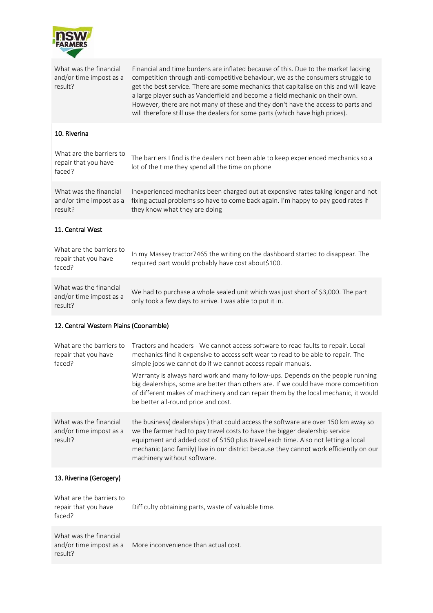

| What was the financial<br>and/or time impost as a<br>result? | Financial and time burdens are inflated because of this. Due to the market lacking<br>competition through anti-competitive behaviour, we as the consumers struggle to<br>get the best service. There are some mechanics that capitalise on this and will leave<br>a large player such as Vanderfield and become a field mechanic on their own.<br>However, there are not many of these and they don't have the access to parts and<br>will therefore still use the dealers for some parts (which have high prices). |  |
|--------------------------------------------------------------|---------------------------------------------------------------------------------------------------------------------------------------------------------------------------------------------------------------------------------------------------------------------------------------------------------------------------------------------------------------------------------------------------------------------------------------------------------------------------------------------------------------------|--|
| 10. Riverina                                                 |                                                                                                                                                                                                                                                                                                                                                                                                                                                                                                                     |  |
| What are the barriers to<br>repair that you have<br>faced?   | The barriers I find is the dealers not been able to keep experienced mechanics so a<br>lot of the time they spend all the time on phone                                                                                                                                                                                                                                                                                                                                                                             |  |
| What was the financial<br>and/or time impost as a<br>result? | Inexperienced mechanics been charged out at expensive rates taking longer and not<br>fixing actual problems so have to come back again. I'm happy to pay good rates if<br>they know what they are doing                                                                                                                                                                                                                                                                                                             |  |
| 11. Central West                                             |                                                                                                                                                                                                                                                                                                                                                                                                                                                                                                                     |  |
| What are the barriers to<br>repair that you have<br>faced?   | In my Massey tractor7465 the writing on the dashboard started to disappear. The<br>required part would probably have cost about\$100.                                                                                                                                                                                                                                                                                                                                                                               |  |
| What was the financial<br>and/or time impost as a<br>result? | We had to purchase a whole sealed unit which was just short of \$3,000. The part<br>only took a few days to arrive. I was able to put it in.                                                                                                                                                                                                                                                                                                                                                                        |  |
| 12. Central Western Plains (Coonamble)                       |                                                                                                                                                                                                                                                                                                                                                                                                                                                                                                                     |  |
| What are the barriers to<br>repair that you have<br>faced?   | Tractors and headers - We cannot access software to read faults to repair. Local<br>mechanics find it expensive to access soft wear to read to be able to repair. The                                                                                                                                                                                                                                                                                                                                               |  |
|                                                              | simple jobs we cannot do if we cannot access repair manuals.                                                                                                                                                                                                                                                                                                                                                                                                                                                        |  |
|                                                              | Warranty is always hard work and many follow-ups. Depends on the people running<br>big dealerships, some are better than others are. If we could have more competition<br>of different makes of machinery and can repair them by the local mechanic, it would<br>be better all-round price and cost.                                                                                                                                                                                                                |  |
| What was the financial<br>and/or time impost as a<br>result? | the business(dealerships) that could access the software are over 150 km away so<br>we the farmer had to pay travel costs to have the bigger dealership service<br>equipment and added cost of \$150 plus travel each time. Also not letting a local<br>mechanic (and family) live in our district because they cannot work efficiently on our<br>machinery without software.                                                                                                                                       |  |
| 13. Riverina (Gerogery)                                      |                                                                                                                                                                                                                                                                                                                                                                                                                                                                                                                     |  |
| What are the barriers to<br>repair that you have<br>faced?   | Difficulty obtaining parts, waste of valuable time.                                                                                                                                                                                                                                                                                                                                                                                                                                                                 |  |

What was the financial and/or time impost as a More inconvenience than actual cost.result?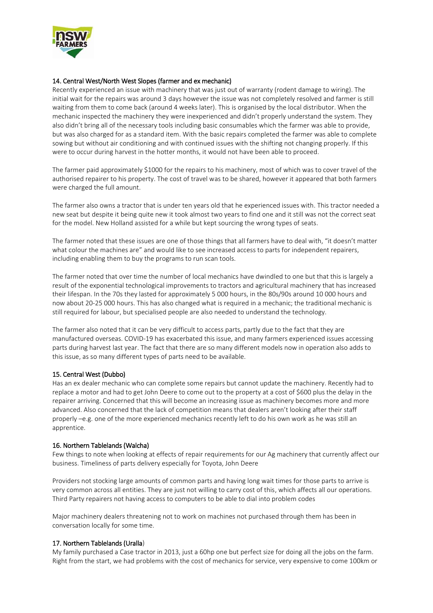

# 14. Central West/North West Slopes (farmer and ex mechanic)

Recently experienced an issue with machinery that was just out of warranty (rodent damage to wiring). The initial wait for the repairs was around 3 days however the issue was not completely resolved and farmer is still waiting from them to come back (around 4 weeks later). This is organised by the local distributor. When the mechanic inspected the machinery they were inexperienced and didn't properly understand the system. They also didn't bring all of the necessary tools including basic consumables which the farmer was able to provide, but was also charged for as a standard item. With the basic repairs completed the farmer was able to complete sowing but without air conditioning and with continued issues with the shifting not changing properly. If this were to occur during harvest in the hotter months, it would not have been able to proceed.

The farmer paid approximately \$1000 for the repairs to his machinery, most of which was to cover travel of the authorised repairer to his property. The cost of travel was to be shared, however it appeared that both farmers were charged the full amount.

The farmer also owns a tractor that is under ten years old that he experienced issues with. This tractor needed a new seat but despite it being quite new it took almost two years to find one and it still was not the correct seat for the model. New Holland assisted for a while but kept sourcing the wrong types of seats.

The farmer noted that these issues are one of those things that all farmers have to deal with, "it doesn't matter what colour the machines are" and would like to see increased access to parts for independent repairers, including enabling them to buy the programs to run scan tools.

The farmer noted that over time the number of local mechanics have dwindled to one but that this is largely a result of the exponential technological improvements to tractors and agricultural machinery that has increased their lifespan. In the 70s they lasted for approximately 5 000 hours, in the 80s/90s around 10 000 hours and now about 20-25 000 hours. This has also changed what is required in a mechanic; the traditional mechanic is still required for labour, but specialised people are also needed to understand the technology.

The farmer also noted that it can be very difficult to access parts, partly due to the fact that they are manufactured overseas. COVID-19 has exacerbated this issue, and many farmers experienced issues accessing parts during harvest last year. The fact that there are so many different models now in operation also adds to this issue, as so many different types of parts need to be available.

# 15. Central West (Dubbo)

Has an ex dealer mechanic who can complete some repairs but cannot update the machinery. Recently had to replace a motor and had to get John Deere to come out to the property at a cost of \$600 plus the delay in the repairer arriving. Concerned that this will become an increasing issue as machinery becomes more and more advanced. Also concerned that the lack of competition means that dealers aren't looking after their staff properly –e.g. one of the more experienced mechanics recently left to do his own work as he was still an apprentice.

#### 16. Northern Tablelands (Walcha)

Few things to note when looking at effects of repair requirements for our Ag machinery that currently affect our business. Timeliness of parts delivery especially for Toyota, John Deere

Providers not stocking large amounts of common parts and having long wait times for those parts to arrive is very common across all entities. They are just not willing to carry cost of this, which affects all our operations. Third Party repairers not having access to computers to be able to dial into problem codes

Major machinery dealers threatening not to work on machines not purchased through them has been in conversation locally for some time.

#### 17. Northern Tablelands (Uralla)

My family purchased a Case tractor in 2013, just a 60hp one but perfect size for doing all the jobs on the farm. Right from the start, we had problems with the cost of mechanics for service, very expensive to come 100km or